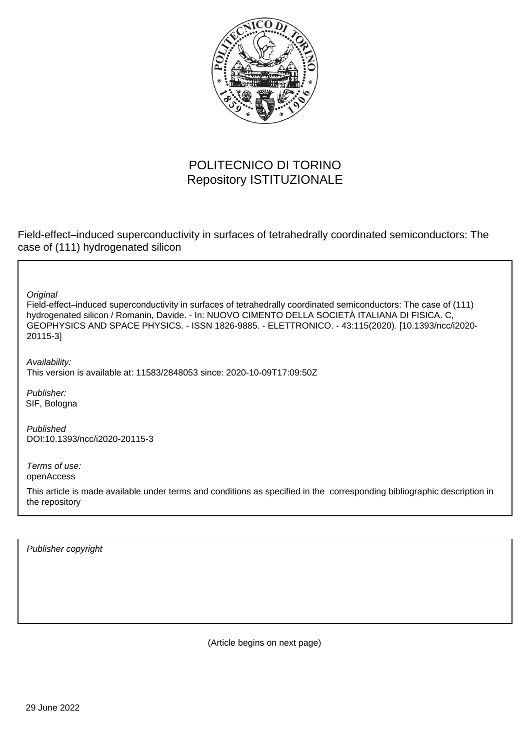

# POLITECNICO DI TORINO Repository ISTITUZIONALE

Field-effect–induced superconductivity in surfaces of tetrahedrally coordinated semiconductors: The case of (111) hydrogenated silicon

**Original** 

Field-effect–induced superconductivity in surfaces of tetrahedrally coordinated semiconductors: The case of (111) hydrogenated silicon / Romanin, Davide. - In: NUOVO CIMENTO DELLA SOCIETÀ ITALIANA DI FISICA. C, GEOPHYSICS AND SPACE PHYSICS. - ISSN 1826-9885. - ELETTRONICO. - 43:115(2020). [10.1393/ncc/i2020- 20115-3]

Availability: This version is available at: 11583/2848053 since: 2020-10-09T17:09:50Z

Publisher: SIF, Bologna

Published DOI:10.1393/ncc/i2020-20115-3

Terms of use: openAccess

This article is made available under terms and conditions as specified in the corresponding bibliographic description in the repository

Publisher copyright

(Article begins on next page)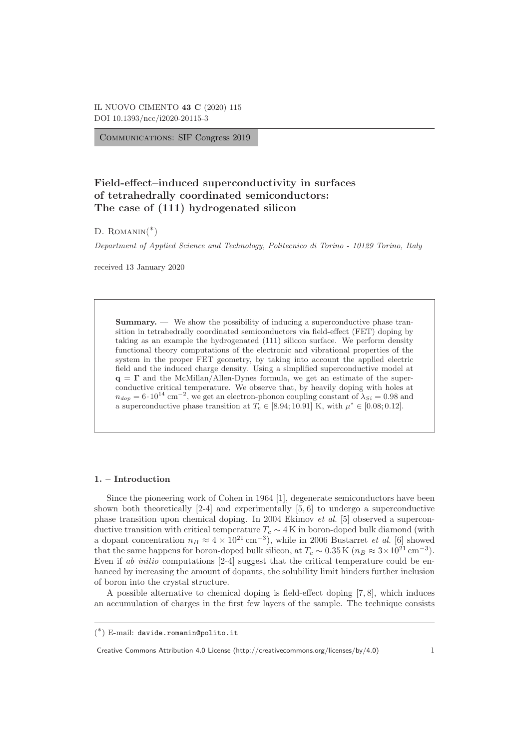Communications: SIF Congress 2019

## **Field-effect–induced superconductivity in surfaces of tetrahedrally coordinated semiconductors: The case of (111) hydrogenated silicon**

D. ROMANIN $(*)$ 

Department of Applied Science and Technology, Politecnico di Torino - 10129 Torino, Italy

received 13 January 2020

**Summary.** — We show the possibility of inducing a superconductive phase transition in tetrahedrally coordinated semiconductors via field-effect (FET) doping by taking as an example the hydrogenated (111) silicon surface. We perform density functional theory computations of the electronic and vibrational properties of the system in the proper FET geometry, by taking into account the applied electric field and the induced charge density. Using a simplified superconductive model at **q** = **Γ** and the McMillan/Allen-Dynes formula, we get an estimate of the superconductive critical temperature. We observe that, by heavily doping with holes at  $n_{dop} = 6 \cdot 10^{14}$  cm<sup>-2</sup>, we get an electron-phonon coupling constant of  $\lambda_{Si} = 0.98$  and a superconductive phase transition at  $T_c \in [8.94; 10.91]$  K, with  $\mu^* \in [0.08; 0.12]$ .

#### **1. – Introduction**

Since the pioneering work of Cohen in 1964 [1], degenerate semiconductors have been shown both theoretically  $[2-4]$  and experimentally  $[5, 6]$  to undergo a superconductive phase transition upon chemical doping. In 2004 Ekimov et al. [5] observed a superconductive transition with critical temperature  $T_c \sim 4 \,\mathrm{K}$  in boron-doped bulk diamond (with a dopant concentration  $n_B \approx 4 \times 10^{21} \text{ cm}^{-3}$ , while in 2006 Bustarret *et al.* [6] showed that the same happens for boron-doped bulk silicon, at  $T_c \sim 0.35 \text{ K}$  ( $n_B \approx 3 \times 10^{21} \text{ cm}^{-3}$ ). Even if ab initio computations [2-4] suggest that the critical temperature could be enhanced by increasing the amount of dopants, the solubility limit hinders further inclusion of boron into the crystal structure.

A possible alternative to chemical doping is field-effect doping [7, 8], which induces an accumulation of charges in the first few layers of the sample. The technique consists

Creative Commons Attribution 4.0 License (http://creativecommons.org/licenses/by/4.0) 1

<sup>(</sup> ∗) E-mail: davide.romanin@polito.it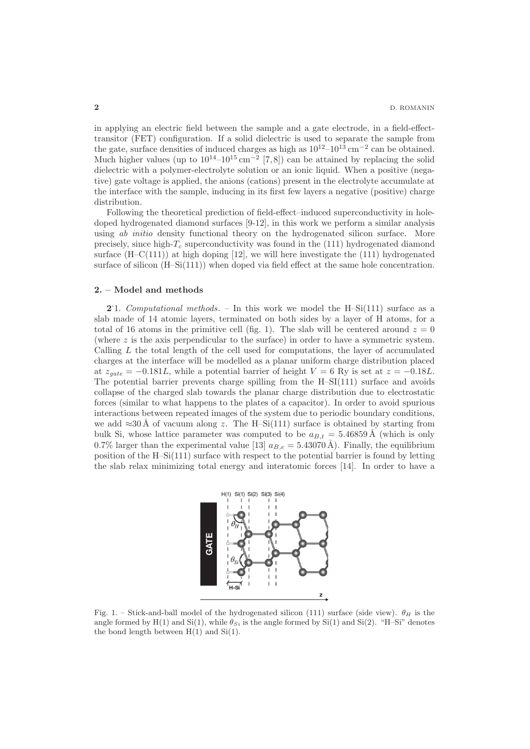in applying an electric field between the sample and a gate electrode, in a field-effecttransitor (FET) configuration. If a solid dielectric is used to separate the sample from the gate, surface densities of induced charges as high as  $10^{12}-10^{13}$  cm<sup>-2</sup> can be obtained. Much higher values (up to  $10^{14}-10^{15}$  cm<sup>-2</sup> [7, 8]) can be attained by replacing the solid dielectric with a polymer-electrolyte solution or an ionic liquid. When a positive (negative) gate voltage is applied, the anions (cations) present in the electrolyte accumulate at the interface with the sample, inducing in its first few layers a negative (positive) charge distribution.

Following the theoretical prediction of field-effect–induced superconductivity in holedoped hydrogenated diamond surfaces [9-12], in this work we perform a similar analysis using ab initio density functional theory on the hydrogenated silicon surface. More precisely, since high- $T_c$  superconductivity was found in the (111) hydrogenated diamond surface  $(H-C(111))$  at high doping  $[12]$ , we will here investigate the  $(111)$  hydrogenated surface of silicon (H–Si(111)) when doped via field effect at the same hole concentration.

#### **2. – Model and methods**

**2**<sup>1</sup>. Computational methods. – In this work we model the H–Si(111) surface as a slab made of 14 atomic layers, terminated on both sides by a layer of H atoms, for a total of 16 atoms in the primitive cell (fig. 1). The slab will be centered around  $z = 0$ (where  $z$  is the axis perpendicular to the surface) in order to have a symmetric system. Calling  $L$  the total length of the cell used for computations, the layer of accumulated charges at the interface will be modelled as a planar uniform charge distribution placed at  $z_{gate} = -0.181L$ , while a potential barrier of height  $V = 6$  Ry is set at  $z = -0.18L$ . The potential barrier prevents charge spilling from the H–SI(111) surface and avoids collapse of the charged slab towards the planar charge distribution due to electrostatic forces (similar to what happens to the plates of a capacitor). In order to avoid spurious interactions between repeated images of the system due to periodic boundary conditions, we add  $\approx 30 \text{ Å}$  of vacuum along z. The H–Si(111) surface is obtained by starting from bulk Si, whose lattice parameter was computed to be  $a_{B,t} = 5.46859 \text{ Å}$  (which is only 0.7% larger than the experimental value [13]  $a_{B,e} = 5.43070 \text{ Å}$ . Finally, the equilibrium position of the H–Si(111) surface with respect to the potential barrier is found by letting the slab relax minimizing total energy and interatomic forces [14]. In order to have a



Fig. 1. – Stick-and-ball model of the hydrogenated silicon (111) surface (side view).  $\theta_H$  is the angle formed by H(1) and Si(1), while  $\theta_{Si}$  is the angle formed by Si(1) and Si(2). "H–Si" denotes the bond length between  $H(1)$  and  $Si(1)$ .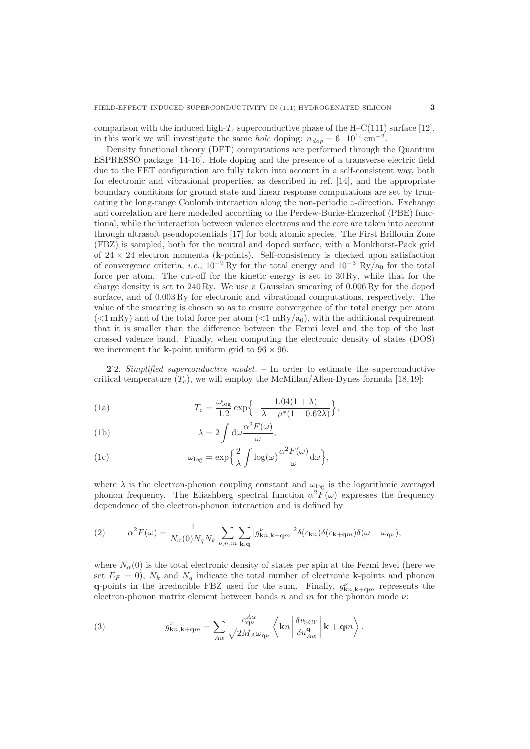comparison with the induced high- $T_c$  superconductive phase of the H–C(111) surface [12], in this work we will investigate the same *hole* doping:  $n_{dop} = 6 \cdot 10^{14} \text{ cm}^{-2}$ .

Density functional theory (DFT) computations are performed through the Quantum ESPRESSO package [14-16]. Hole doping and the presence of a transverse electric field due to the FET configuration are fully taken into account in a self-consistent way, both for electronic and vibrational properties, as described in ref. [14], and the appropriate boundary conditions for ground state and linear response computations are set by truncating the long-range Coulomb interaction along the non-periodic z-direction. Exchange and correlation are here modelled according to the Perdew-Burke-Ernzerhof (PBE) functional, while the interaction between valence electrons and the core are taken into account through ultrasoft pseudopotentials [17] for both atomic species. The First Brillouin Zone (FBZ) is sampled, both for the neutral and doped surface, with a Monkhorst-Pack grid of 24 × 24 electron momenta (**k**-points). Self-consistency is checked upon satisfaction of convergence criteria, *i.e.*,  $10^{-9}$  Ry for the total energy and  $10^{-3}$  Ry/a<sub>0</sub> for the total force per atom. The cut-off for the kinetic energy is set to 30 Ry, while that for the charge density is set to 240 Ry. We use a Gaussian smearing of 0.006 Ry for the doped surface, and of 0.003 Ry for electronic and vibrational computations, respectively. The value of the smearing is chosen so as to ensure convergence of the total energy per atom  $\epsilon$ (<1 mRy) and of the total force per atom  $\epsilon$ (<1 mRy/a<sub>0</sub>), with the additional requirement that it is smaller than the difference between the Fermi level and the top of the last crossed valence band. Finally, when computing the electronic density of states (DOS) we increment the **k**-point uniform grid to  $96 \times 96$ .

**2**. 2. Simplified superconductive model. – In order to estimate the superconductive critical temperature  $(T_c)$ , we will employ the McMillan/Allen-Dynes formula [18, 19]:

(1a) 
$$
T_c = \frac{\omega_{\text{log}}}{1.2} \exp\left\{-\frac{1.04(1+\lambda)}{\lambda - \mu^*(1 + 0.62\lambda)}\right\},
$$

(1b) 
$$
\lambda = 2 \int d\omega \frac{\alpha^2 F(\omega)}{\omega},
$$

(1c) 
$$
\omega_{\text{log}} = \exp\left\{\frac{2}{\lambda} \int \log(\omega) \frac{\alpha^2 F(\omega)}{\omega} d\omega \right\},\,
$$

where  $\lambda$  is the electron-phonon coupling constant and  $\omega_{\text{log}}$  is the logarithmic averaged phonon frequency. The Eliashberg spectral function  $\alpha^2 F(\omega)$  expresses the frequency dependence of the electron-phonon interaction and is defined by

(2) 
$$
\alpha^2 F(\omega) = \frac{1}{N_{\sigma}(0)N_q N_k} \sum_{\nu,n,m} \sum_{\mathbf{k},\mathbf{q}} |g_{\mathbf{k}n,\mathbf{k}+\mathbf{q}m}^{\nu}|^2 \delta(\epsilon_{\mathbf{k}n}) \delta(\epsilon_{\mathbf{k}+\mathbf{q}m}) \delta(\omega - \omega_{\mathbf{q}\nu}),
$$

where  $N_{\sigma}(0)$  is the total electronic density of states per spin at the Fermi level (here we set  $E_F = 0$ ,  $N_k$  and  $N_q$  indicate the total number of electronic **k**-points and phonon **q**-points in the irreducible FBZ used for the sum. Finally,  $g_{\mathbf{k}n,\mathbf{k+q}m}^{\nu}$  represents the electron-phonon matrix element between bands n and m for the phonon mode  $\nu$ :

(3) 
$$
g_{\mathbf{k}n,\mathbf{k+q}m}^{\nu} = \sum_{A\alpha} \frac{e_{\mathbf{q}\nu}^{A\alpha}}{\sqrt{2M_A\omega_{\mathbf{q}\nu}}} \left\langle \mathbf{k}n \left| \frac{\delta v_{\text{SCF}}}{\delta u_{A\alpha}^{\mathbf{q}}} \right| \mathbf{k+q}m \right\rangle.
$$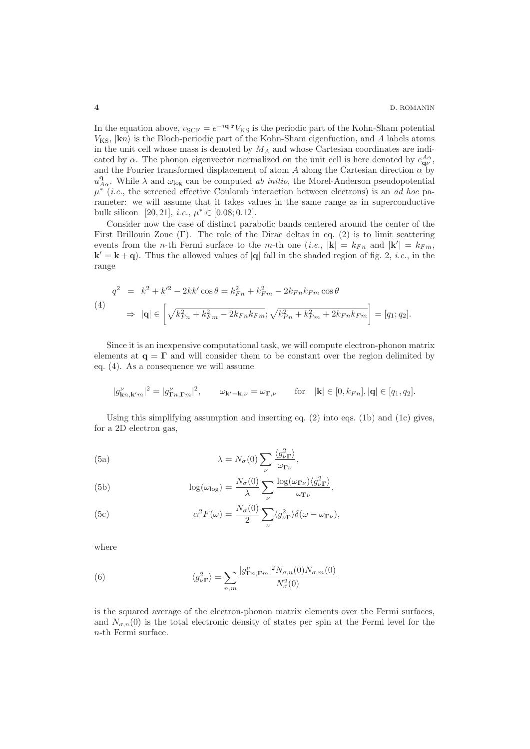In the equation above,  $v_{SCF} = e^{-i\mathbf{q} \cdot \mathbf{r}}V_{KS}$  is the periodic part of the Kohn-Sham potential  $V_{\text{KS}}$ ,  $|\mathbf{k}n\rangle$  is the Bloch-periodic part of the Kohn-Sham eigenfuction, and A labels atoms in the unit cell whose mass is denoted by  $M_A$  and whose Cartesian coordinates are indicated by  $\alpha$ . The phonon eigenvector normalized on the unit cell is here denoted by  $e_{\mathbf{q}\nu}^{A\alpha}$ , and the Fourier transformed displacement of atom A along the Cartesian direction  $\alpha$  by  $u_{A\alpha}^{\mathbf{q}}$ . While  $\lambda$  and  $\omega_{\log}$  can be computed *ab initio*, the Morel-Anderson pseudopotential  $\mu^*$  (*i.e.*, the screened effective Coulomb interaction between electrons) is an ad hoc parameter: we will assume that it takes values in the same range as in superconductive bulk silicon [20, 21], *i.e.*,  $\mu^* \in [0.08; 0.12]$ .

Consider now the case of distinct parabolic bands centered around the center of the First Brillouin Zone (Γ). The role of the Dirac deltas in eq. (2) is to limit scattering events from the *n*-th Fermi surface to the *m*-th one (*i.e.*,  $|\mathbf{k}| = k_{Fn}$  and  $|\mathbf{k}'| = k_{Fm}$ ,  $\mathbf{k}' = \mathbf{k} + \mathbf{q}$ . Thus the allowed values of  $|\mathbf{q}|$  fall in the shaded region of fig. 2, *i.e.*, in the range

$$
q^{2} = k^{2} + k'^{2} - 2kk' \cos \theta = k_{Fn}^{2} + k_{Fm}^{2} - 2k_{Fn}k_{Fm} \cos \theta
$$
\n
$$
(4) \Rightarrow |\mathbf{q}| \in \left[ \sqrt{k_{Fn}^{2} + k_{Fm}^{2} - 2k_{Fn}k_{Fm}}; \sqrt{k_{Fn}^{2} + k_{Fm}^{2} + 2k_{Fn}k_{Fm}} \right] = [q_{1}; q_{2}].
$$

Since it is an inexpensive computational task, we will compute electron-phonon matrix elements at  $q = \Gamma$  and will consider them to be constant over the region delimited by eq. (4). As a consequence we will assume

$$
|g_{\mathbf{k}n,\mathbf{k}'m}^{\nu}|^2 = |g_{\mathbf{\Gamma}n,\mathbf{\Gamma}m}^{\nu}|^2, \qquad \omega_{\mathbf{k}'-\mathbf{k},\nu} = \omega_{\mathbf{\Gamma},\nu} \qquad \text{for} \quad |\mathbf{k}| \in [0,k_{Fn}], |\mathbf{q}| \in [q_1,q_2].
$$

Using this simplifying assumption and inserting eq.  $(2)$  into eqs.  $(1b)$  and  $(1c)$  gives, for a 2D electron gas,

(5a) 
$$
\lambda = N_{\sigma}(0) \sum_{\nu} \frac{\langle g_{\nu}^{2} \Gamma \rangle}{\omega_{\Gamma \nu}},
$$

(5b) 
$$
\log(\omega_{\text{log}}) = \frac{N_{\sigma}(0)}{\lambda} \sum_{\nu} \frac{\log(\omega_{\text{F}\nu}) \langle g_{\nu\text{F}}^2 \rangle}{\omega_{\text{F}\nu}},
$$

(5c) 
$$
\alpha^2 F(\omega) = \frac{N_{\sigma}(0)}{2} \sum_{\nu} \langle g_{\nu}^2 \mathbf{r} \rangle \delta(\omega - \omega_{\mathbf{\Gamma}\nu}),
$$

where

(6) 
$$
\langle g_{\nu \mathbf{\Gamma}}^2 \rangle = \sum_{n,m} \frac{|g_{\mathbf{\Gamma}n,\mathbf{\Gamma}m}^{\nu}|^2 N_{\sigma,n}(0) N_{\sigma,m}(0)}{N_{\sigma}^2(0)}
$$

is the squared average of the electron-phonon matrix elements over the Fermi surfaces, and  $N_{\sigma,n}(0)$  is the total electronic density of states per spin at the Fermi level for the n-th Fermi surface.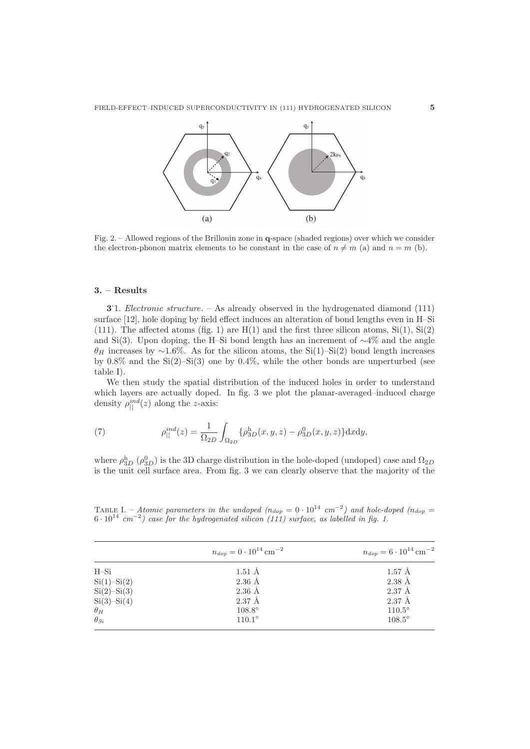

Fig. 2. – Allowed regions of the Brillouin zone in **q**-space (shaded regions) over which we consider the electron-phonon matrix elements to be constant in the case of  $n \neq m$  (a) and  $n = m$  (b).

### **3. – Results**

**3**<sup>1</sup>. *Electronic structure.* – As already observed in the hydrogenated diamond (111) surface [12], hole doping by field effect induces an alteration of bond lengths even in H–Si (111). The affected atoms (fig. 1) are  $H(1)$  and the first three silicon atoms,  $Si(1)$ ,  $Si(2)$ and Si(3). Upon doping, the H–Si bond length has an increment of ∼4% and the angle  $\theta_H$  increases by ~1.6%. As for the silicon atoms, the Si(1)–Si(2) bond length increases by  $0.8\%$  and the Si(2)–Si(3) one by  $0.4\%$ , while the other bonds are unperturbed (see table I).

We then study the spatial distribution of the induced holes in order to understand which layers are actually doped. In fig. 3 we plot the planar-averaged–induced charge density  $\rho_{\parallel}^{ind}(z)$  along the z-axis:

(7) 
$$
\rho_{\parallel}^{ind}(z) = \frac{1}{\Omega_{2D}} \int_{\Omega_{2D}} {\{\rho_{3D}^{\mathrm{h}}(x, y, z) - \rho_{3D}^0(x, y, z)\} \mathrm{d}x \mathrm{d}y},
$$

where  $\rho_{3D}^{\rm h}$  ( $\rho_{3D}^0$ ) is the 3D charge distribution in the hole-doped (undoped) case and  $\Omega_{2D}$ is the unit cell surface area. From fig. 3 we can clearly observe that the majority of the

TABLE I. – Atomic parameters in the undoped  $(n_{dop} = 0 \cdot 10^{14} \text{ cm}^{-2})$  and hole-doped  $(n_{dop} = 14 \cdot 10^{14} \text{ cm}^{-2})$  $6 \cdot 10^{14}$  cm<sup>-2</sup>) case for the hydrogenated silicon (111) surface, as labelled in fig. 1.

|               | $n_{dop} = 0 \cdot 10^{14}$ cm <sup>-2</sup> | $n_{dop} = 6 \cdot 10^{14}$ cm <sup>-2</sup> |  |
|---------------|----------------------------------------------|----------------------------------------------|--|
| $H-Si$        | $1.51 \text{ Å}$                             | $1.57 \text{ Å}$                             |  |
| Si(1)–Si(2)   | $2.36\ \textup{\AA}$                         | $2.38$ Å                                     |  |
| Si(2)–Si(3)   | $2.36 \text{ Å}$                             | $2.37 \text{ Å}$                             |  |
| Si(3)–Si(4)   | $2.37 \text{ Å}$                             | $2.37 \text{ Å}$                             |  |
| $\theta_H$    | $108.8^\circ$                                | $110.5^\circ$                                |  |
| $\theta_{Si}$ | $110.1^\circ$                                | $108.5^\circ$                                |  |
|               |                                              |                                              |  |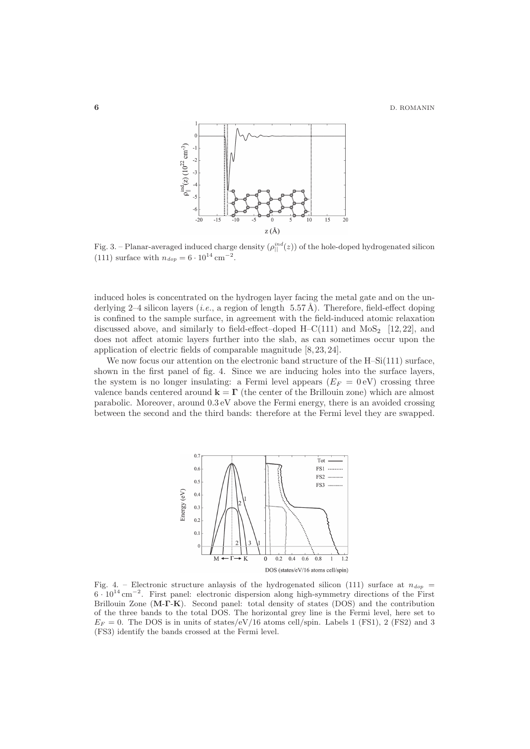**6** D. ROMANIN



Fig. 3. – Planar-averaged induced charge density  $(\rho_{||}^{ind}(z))$  of the hole-doped hydrogenated silicon (111) surface with  $n_{dop} = 6 \cdot 10^{14} \text{ cm}^{-2}$ .

induced holes is concentrated on the hydrogen layer facing the metal gate and on the underlying 2–4 silicon layers (*i.e.*, a region of length 5.57 Å). Therefore, field-effect doping is confined to the sample surface, in agreement with the field-induced atomic relaxation discussed above, and similarly to field-effect–doped H–C(111) and MoS<sub>2</sub> [12, 22], and does not affect atomic layers further into the slab, as can sometimes occur upon the application of electric fields of comparable magnitude [8, 23, 24].

We now focus our attention on the electronic band structure of the  $H-Si(111)$  surface, shown in the first panel of fig. 4. Since we are inducing holes into the surface layers, the system is no longer insulating: a Fermi level appears  $(E_F = 0 \text{ eV})$  crossing three valence bands centered around  $\mathbf{k} = \mathbf{\Gamma}$  (the center of the Brillouin zone) which are almost parabolic. Moreover, around 0.3 eV above the Fermi energy, there is an avoided crossing between the second and the third bands: therefore at the Fermi level they are swapped.



Fig. 4. – Electronic structure anlaysis of the hydrogenated silicon (111) surface at  $n_{dop}$  = <sup>6</sup> · <sup>10</sup><sup>14</sup> cm−<sup>2</sup>. First panel: electronic dispersion along high-symmetry directions of the First Brillouin Zone (**M**-**Γ**-**K**). Second panel: total density of states (DOS) and the contribution of the three bands to the total DOS. The horizontal grey line is the Fermi level, here set to  $E_F = 0$ . The DOS is in units of states/eV/16 atoms cell/spin. Labels 1 (FS1), 2 (FS2) and 3 (FS3) identify the bands crossed at the Fermi level.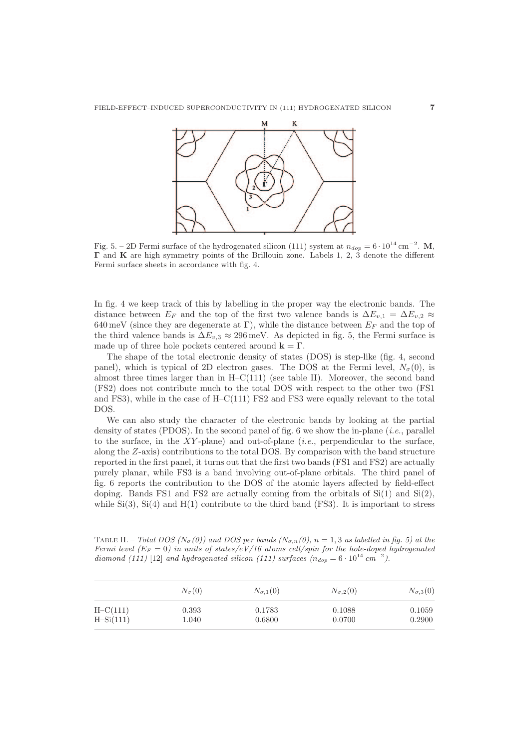

Fig. 5. – 2D Fermi surface of the hydrogenated silicon (111) system at  $n_{dop} = 6 \cdot 10^{14}$  cm<sup>-2</sup>. M, **Γ** and **K** are high symmetry points of the Brillouin zone. Labels 1, 2, 3 denote the different Fermi surface sheets in accordance with fig. 4.

In fig. 4 we keep track of this by labelling in the proper way the electronic bands. The distance between  $E_F$  and the top of the first two valence bands is  $\Delta E_{v,1} = \Delta E_{v,2} \approx$ 640 meV (since they are degenerate at  $\Gamma$ ), while the distance between  $E_F$  and the top of the third valence bands is  $\Delta E_{v,3} \approx 296 \,\text{meV}$ . As depicted in fig. 5, the Fermi surface is made up of three hole pockets centered around  $\mathbf{k} = \mathbf{\Gamma}$ .

The shape of the total electronic density of states (DOS) is step-like (fig. 4, second panel), which is typical of 2D electron gases. The DOS at the Fermi level,  $N_{\sigma}(0)$ , is almost three times larger than in  $H-C(111)$  (see table II). Moreover, the second band (FS2) does not contribute much to the total DOS with respect to the other two (FS1 and FS3), while in the case of  $H-C(111)$  FS2 and FS3 were equally relevant to the total DOS.

We can also study the character of the electronic bands by looking at the partial density of states (PDOS). In the second panel of fig. 6 we show the in-plane (*i.e.*, parallel to the surface, in the  $XY$ -plane) and out-of-plane *(i.e., perpendicular to the surface,* along the Z-axis) contributions to the total DOS. By comparison with the band structure reported in the first panel, it turns out that the first two bands (FS1 and FS2) are actually purely planar, while FS3 is a band involving out-of-plane orbitals. The third panel of fig. 6 reports the contribution to the DOS of the atomic layers affected by field-effect doping. Bands FS1 and FS2 are actually coming from the orbitals of  $Si(1)$  and  $Si(2)$ , while  $Si(3)$ ,  $Si(4)$  and  $H(1)$  contribute to the third band (FS3). It is important to stress

TABLE II. – Total DOS ( $N_{\sigma}(0)$ ) and DOS per bands ( $N_{\sigma,n}(0)$ ,  $n = 1, 3$  as labelled in fig. 5) at the Fermi level  $(E_F = 0)$  in units of states/eV/16 atoms cell/spin for the hole-doped hydrogenated diamond (111) [12] and hydrogenated silicon (111) surfaces  $(n_{dop} = 6 \cdot 10^{14} \text{ cm}^{-2})$ .

|             | $N_{\sigma}(0)$ | $N_{\sigma,1}(0)$ | $N_{\sigma,2}(0)$ | $N_{\sigma,3}(0)$ |
|-------------|-----------------|-------------------|-------------------|-------------------|
| $H-C(111)$  | 0.393           | 0.1783            | 0.1088            | 0.1059            |
| $H-Si(111)$ | 1.040           | 0.6800            | 0.0700            | 0.2900            |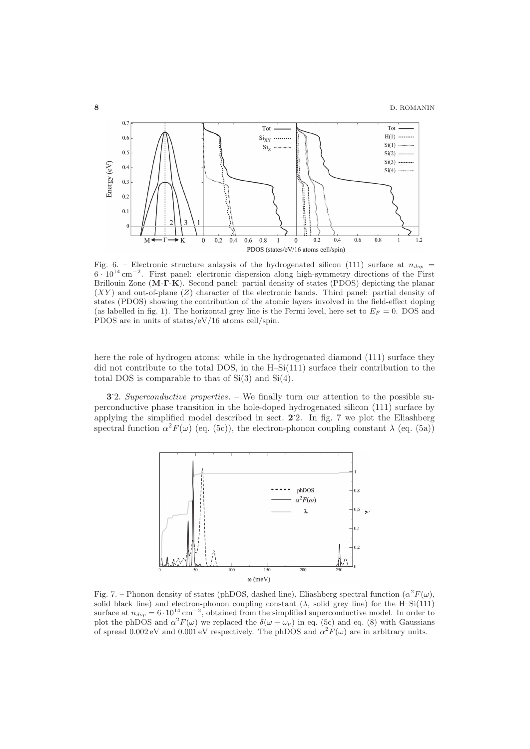

Fig. 6. – Electronic structure anlaysis of the hydrogenated silicon (111) surface at  $n_{dop}$  = <sup>6</sup> · <sup>10</sup><sup>14</sup> cm−<sup>2</sup>. First panel: electronic dispersion along high-symmetry directions of the First Brillouin Zone (**M**-**Γ**-**K**). Second panel: partial density of states (PDOS) depicting the planar  $(XY)$  and out-of-plane  $(Z)$  character of the electronic bands. Third panel: partial density of states (PDOS) showing the contribution of the atomic layers involved in the field-effect doping (as labelled in fig. 1). The horizontal grey line is the Fermi level, here set to  $E_F = 0$ . DOS and PDOS are in units of states/eV/16 atoms cell/spin.

here the role of hydrogen atoms: while in the hydrogenated diamond  $(111)$  surface they did not contribute to the total DOS, in the H–Si(111) surface their contribution to the total DOS is comparable to that of  $Si(3)$  and  $Si(4)$ .

**3**. Superconductive properties. – We finally turn our attention to the possible superconductive phase transition in the hole-doped hydrogenated silicon (111) surface by applying the simplified model described in sect. **<sup>2</sup>**. 2. In fig. 7 we plot the Eliashberg spectral function  $\alpha^2 F(\omega)$  (eq. (5c)), the electron-phonon coupling constant  $\lambda$  (eq. (5a))



Fig. 7. – Phonon density of states (phDOS, dashed line), Eliashberg spectral function  $(\alpha^2 F(\omega),$ solid black line) and electron-phonon coupling constant  $(\lambda)$ , solid grey line) for the H–Si(111) surface at  $n_{dop} = 6 \cdot 10^{14} \text{ cm}^{-2}$ , obtained from the simplified superconductive model. In order to plot the phDOS and  $\alpha^2 F(\omega)$  we replaced the  $\delta(\omega - \omega_{\nu})$  in eq. (5c) and eq. (8) with Gaussians of spread 0.002 eV and 0.001 eV respectively. The phDOS and  $\alpha^2 F(\omega)$  are in arbitrary units.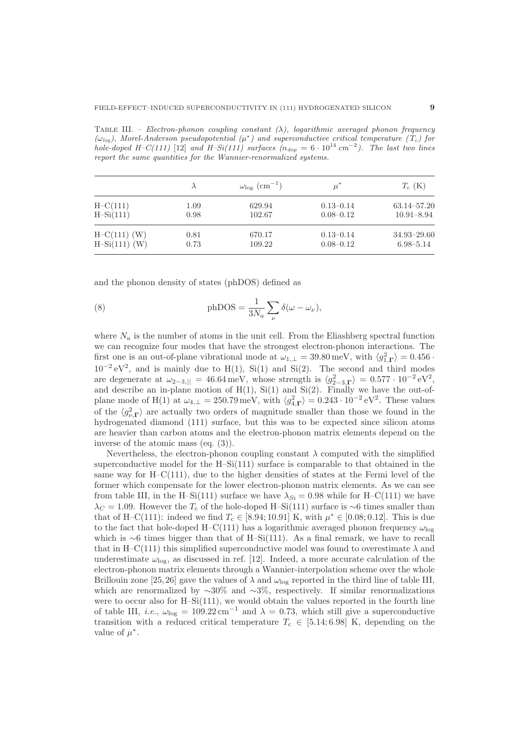TABLE III. – Electron-phonon coupling constant  $(\lambda)$ , logarithmic averaged phonon frequency  $(\omega_{log})$ , Morel-Anderson pseudopotential  $(\mu^*)$  and superconductive critical temperature  $(T_c)$  for hole-doped H–C(111) [12] and H–Si(111) surfaces  $(n_{dop} = 6 \cdot 10^{14} \text{ cm}^{-2})$ . The last two lines report the same quantities for the Wannier-renormalized systems.

|                 |      | $\omega_{\log}$ (cm <sup>-1</sup> ) | $\mu^*$       | $T_c$ (K)       |
|-----------------|------|-------------------------------------|---------------|-----------------|
| $H-C(111)$      | 1.09 | 629.94                              | $0.13 - 0.14$ | 63.14–57.20     |
| $H-Si(111)$     | 0.98 | 102.67                              | $0.08 - 0.12$ | $10.91 - 8.94$  |
| $H-C(111)$ (W)  | 0.81 | 670.17                              | $0.13 - 0.14$ | $34.93 - 29.60$ |
| $H-Si(111)$ (W) | 0.73 | 109.22                              | $0.08 - 0.12$ | $6.98 - 5.14$   |

and the phonon density of states (phDOS) defined as

(8) 
$$
\text{phDOS} = \frac{1}{3N_a} \sum_{\nu} \delta(\omega - \omega_{\nu}),
$$

where  $N_a$  is the number of atoms in the unit cell. From the Eliashberg spectral function we can recognize four modes that have the strongest electron-phonon interactions. The first one is an out-of-plane vibrational mode at  $\omega_{1,\perp} = 39.80 \,\text{meV}$ , with  $\langle g_{1,\Gamma}^2 \rangle = 0.456 \cdot$  $10^{-2}$  eV<sup>2</sup>, and is mainly due to H(1), Si(1) and Si(2). The second and third modes are degenerate at  $\omega_{2-3,||} = 46.64 \text{ meV}$ , whose strength is  $\langle g_{2-3,\Gamma}^2 \rangle = 0.577 \cdot 10^{-2} \text{ eV}^2$ , and describe an in-plane motion of  $H(1)$ ,  $Si(1)$  and  $Si(2)$ . Finally we have the out-ofplane mode of H(1) at  $\omega_{4,\perp} = 250.79 \,\text{meV}$ , with  $\langle g_{4,\Gamma}^2 \rangle = 0.243 \cdot 10^{-2} \,\text{eV}^2$ . These values of the  $\langle g_{\nu,\Gamma}^2 \rangle$  are actually two orders of magnitude smaller than those we found in the hydrogenated diamond (111) surface, but this was to be expected since silicon atoms are heavier than carbon atoms and the electron-phonon matrix elements depend on the inverse of the atomic mass (eq. (3)).

Nevertheless, the electron-phonon coupling constant  $\lambda$  computed with the simplified superconductive model for the  $H-Si(111)$  surface is comparable to that obtained in the same way for  $H-C(111)$ , due to the higher densities of states at the Fermi level of the former which compensate for the lower electron-phonon matrix elements. As we can see from table III, in the H–Si(111) surface we have  $\lambda_{Si} = 0.98$  while for H–C(111) we have  $\lambda_C = 1.09$ . However the T<sub>c</sub> of the hole-doped H–Si(111) surface is ∼6 times smaller than that of H–C(111): indeed we find  $T_c \in [8.94; 10.91]$  K, with  $\mu^* \in [0.08; 0.12]$ . This is due to the fact that hole-doped H–C(111) has a logarithmic averaged phonon frequency  $\omega_{\text{log}}$ which is  $\sim$ 6 times bigger than that of H–Si(111). As a final remark, we have to recall that in H–C(111) this simplified superconductive model was found to overestimate  $\lambda$  and underestimate  $\omega_{\text{log}}$ , as discussed in ref. [12]. Indeed, a more accurate calculation of the electron-phonon matrix elements through a Wannier-interpolation scheme over the whole Brillouin zone [25,26] gave the values of  $\lambda$  and  $\omega_{\text{log}}$  reported in the third line of table III, which are renormalized by  $~\sim 30\%$  and  $~\sim 3\%$ , respectively. If similar renormalizations were to occur also for  $H-Si(111)$ , we would obtain the values reported in the fourth line of table III, *i.e.*,  $\omega_{\text{log}} = 109.22 \text{ cm}^{-1}$  and  $\lambda = 0.73$ , which still give a superconductive transition with a reduced critical temperature  $T_c \in [5.14; 6.98]$  K, depending on the value of  $\mu^*$ .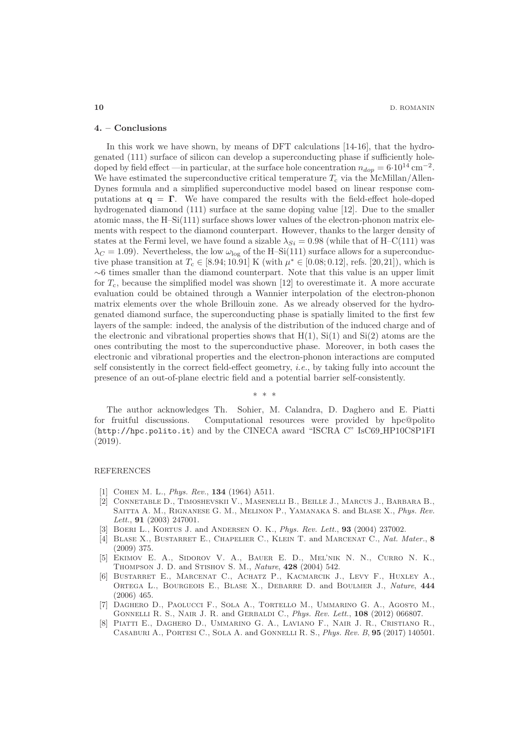#### **4. – Conclusions**

In this work we have shown, by means of DFT calculations [14-16], that the hydrogenated (111) surface of silicon can develop a superconducting phase if sufficiently holedoped by field effect —in particular, at the surface hole concentration  $n_{dop} = 6 \cdot 10^{14}$  cm<sup>-2</sup>. We have estimated the superconductive critical temperature  $T_c$  via the McMillan/Allen-Dynes formula and a simplified superconductive model based on linear response computations at  $q = \Gamma$ . We have compared the results with the field-effect hole-doped hydrogenated diamond (111) surface at the same doping value [12]. Due to the smaller atomic mass, the H–Si(111) surface shows lower values of the electron-phonon matrix elements with respect to the diamond counterpart. However, thanks to the larger density of states at the Fermi level, we have found a sizable  $\lambda_{Si} = 0.98$  (while that of H–C(111) was  $\lambda_C = 1.09$ ). Nevertheless, the low  $\omega_{\text{log}}$  of the H–Si(111) surface allows for a superconductive phase transition at  $T_c \in [8.94; 10.91]$  K (with  $\mu^* \in [0.08; 0.12]$ , refs. [20,21]), which is  $~\sim 6$  times smaller than the diamond counterpart. Note that this value is an upper limit for  $T_c$ , because the simplified model was shown [12] to overestimate it. A more accurate evaluation could be obtained through a Wannier interpolation of the electron-phonon matrix elements over the whole Brillouin zone. As we already observed for the hydrogenated diamond surface, the superconducting phase is spatially limited to the first few layers of the sample: indeed, the analysis of the distribution of the induced charge and of the electronic and vibrational properties shows that  $H(1)$ ,  $Si(1)$  and  $Si(2)$  atoms are the ones contributing the most to the superconductive phase. Moreover, in both cases the electronic and vibrational properties and the electron-phonon interactions are computed self consistently in the correct field-effect geometry, i.e., by taking fully into account the presence of an out-of-plane electric field and a potential barrier self-consistently.

The author acknowledges Th. Sohier, M. Calandra, D. Daghero and E. Piatti for fruitful discussions. Computational resources were provided by hpc@polito (http://hpc.polito.it) and by the CINECA award "ISCRA C" IsC69 HP10C8P1FI (2019).

∗∗∗

#### REFERENCES

- [1] Cohen M. L., Phys. Rev., **134** (1964) A511.
- [2] Connetable D., Timoshevskii V., Masenelli B., Beille J., Marcus J., Barbara B., SAITTA A. M., RIGNANESE G. M., MELINON P., YAMANAKA S. and BLASE X., Phys. Rev. Lett., **91** (2003) 247001.
- [3] Boeri L., Kortus J. and Andersen O. K., Phys. Rev. Lett., **93** (2004) 237002.
- [4] Blase X., Bustarret E., Chapelier C., Klein T. and Marcenat C., Nat. Mater., **8** (2009) 375.
- [5] Ekimov E. A., Sidorov V. A., Bauer E. D., Mel'nik N. N., Curro N. K., Thompson J. D. and Stishov S. M., Nature, **428** (2004) 542.
- [6] Bustarret E., Marcenat C., Achatz P., Kacmarcik J., Levy F., Huxley A., Ortega L., Bourgeois E., Blase X., Debarre D. and Boulmer J., Nature, **444** (2006) 465.
- [7] Daghero D., Paolucci F., Sola A., Tortello M., Ummarino G. A., Agosto M., Gonnelli R. S., Nair J. R. and Gerbaldi C., Phys. Rev. Lett., **108** (2012) 066807.
- [8] Piatti E., Daghero D., Ummarino G. A., Laviano F., Nair J. R., Cristiano R., Casaburi A., Portesi C., Sola A. and Gonnelli R. S., Phys. Rev. B, **95** (2017) 140501.